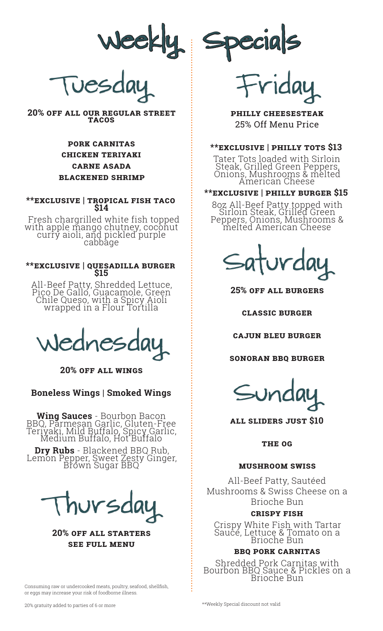Weekly

Tuesday

**20% Off all our REgular Street Tacos**

# **Pork Carnitas Chicken Teriyaki Carne Asada Blackened Shrimp**

## **\*\*Exclusive | Tropical Fish Taco \$14**

 Fresh chargrilled white fish topped with apple mango chutney, coconut<br>curry aioli, and pickled purple<br>cabbage

## **\*\*Exclusive | QUESADILLA BURGER \$15**

All-Beef Patty, Shredded Lettuce, Pico De Gallo, Guacamole, Green Chile Queso, with a Spicy Aioli wrapped in a Flour Tortilla



**20% Off all Wings**

# **Boneless Wings** | **Smoked Wings**

**Wing Sauces** - Bourbon Bacon BBQ, Parmesan Garlic, Gluten-Free Teriyaki, Mild Buffalo, Spicy Garlic, Medium Buffalo, Hot Buffalo

**Dry Rubs** - Blackened BBQ Rub, Lemon Pepper, Sweet Zesty Ginger, Brown Sugar BBQ

Thursday

**20% Off all starters See Full Menu**

Consuming raw or undercooked meats, poultry, seafood, shellfish, or eggs may increase your risk of foodborne illness.

Specials

Friday

**PHILLY CHEESESTEAK** 25% Off Menu Price

## **\*\*Exclusive | PHILLY TOTS \$13**

Tater Tots loaded with Sirloin Steak, Grilled Green Peppers, Onions, Mushrooms & melted American Cheese

## **\*\*Exclusive | PHILLY BURGER \$15**

8oz All-Beef Patty topped with Sirloin Steak, Grilled Green Peppers, Onions, Mushrooms & melted American Cheese

Saturday

**25% Off all Burgers**

**CLASSIC BURGER**

**CAJUN BLEU BURGER**

**SONORAN BBQ BURGER**



**All Sliders just \$10**

**The OG**

## **Mushroom Swiss**

All-Beef Patty, Sautéed Mushrooms & Swiss Cheese on a Brioche Bun

### **Crispy Fish**

Crispy White Fish with Tartar Saucé, Lettuce & Tomato on a<br>Brioche Bun

### **BBQ Pork Carnitas**

Shredded Pork Carnitas with Bourbon BBQ Sauce & Pickles on a Brioche Bun